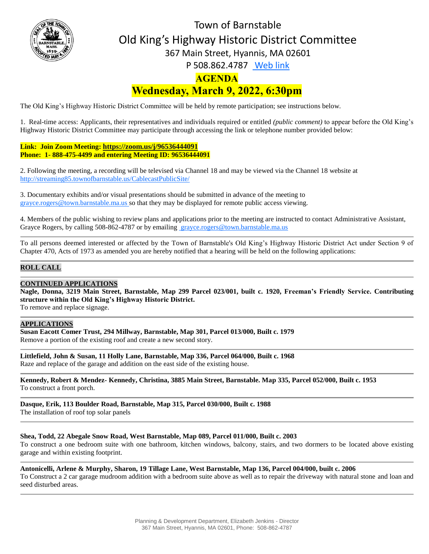

# **AGENDA Wednesday, March 9, 2022, 6:30pm** Town of Barnstable Old King's Highway Historic District Committee 367 Main Street, Hyannis, MA 02601 P 508.862.4787 [Web link](https://tobweb.town.barnstable.ma.us/boardscommittees/OldKingsHighway/?brd=Old+King%27s+Highway&year=2021)

The Old King's Highway Historic District Committee will be held by remote participation; see instructions below.

1. Real-time access: Applicants, their representatives and individuals required or entitled *(public comment)* to appear before the Old King's Highway Historic District Committee may participate through accessing the link or telephone number provided below:

**Link: Join Zoom Meeting: <https://zoom.us/j/96536444091> Phone: 1- 888-475-4499 and entering Meeting ID: 96536444091**

2. Following the meeting, a recording will be televised via Channel 18 and may be viewed via the Channel 18 website at <http://streaming85.townofbarnstable.us/CablecastPublicSite/>

3. Documentary exhibits and/or visual presentations should be submitted in advance of the meeting to grayce.rogers@town.barnstable.ma.us so that they may be displayed for remote public access viewing.

4. Members of the public wishing to review plans and applications prior to the meeting are instructed to contact Administrative Assistant, Grayce Rogers, by calling 508-862-4787 or by emailing [grayce.rogers@town.barnstable.ma.us](mailto:grayce.rogers@town.barnstable.ma.us)

To all persons deemed interested or affected by the Town of Barnstable's Old King's Highway Historic District Act under Section 9 of Chapter 470, Acts of 1973 as amended you are hereby notified that a hearing will be held on the following applications:

# **ROLL CALL**

#### **CONTINUED APPLICATIONS**

**Nagle, Donna, 3219 Main Street, Barnstable, Map 299 Parcel 023/001, built c. 1920, Freeman's Friendly Service. Contributing structure within the Old King's Highway Historic District.**

To remove and replace signage.

#### **APPLICATIONS**

**Susan Eacott Comer Trust, 294 Millway, Barnstable, Map 301, Parcel 013/000, Built c. 1979** Remove a portion of the existing roof and create a new second story.

**Littlefield, John & Susan, 11 Holly Lane, Barnstable, Map 336, Parcel 064/000, Built c. 1968** Raze and replace of the garage and addition on the east side of the existing house.

**Kennedy, Robert & Mendez- Kennedy, Christina, 3885 Main Street, Barnstable. Map 335, Parcel 052/000, Built c. 1953** To construct a front porch.

**Dasque, Erik, 113 Boulder Road, Barnstable, Map 315, Parcel 030/000, Built c. 1988**

The installation of roof top solar panels

#### **Shea, Todd, 22 Abegale Snow Road, West Barnstable, Map 089, Parcel 011/000, Built c. 2003**

To construct a one bedroom suite with one bathroom, kitchen windows, balcony, stairs, and two dormers to be located above existing garage and within existing footprint.

**Antonicelli, Arlene & Murphy, Sharon, 19 Tillage Lane, West Barnstable, Map 136, Parcel 004/000, built c. 2006**

To Construct a 2 car garage mudroom addition with a bedroom suite above as well as to repair the driveway with natural stone and loan and seed disturbed areas.